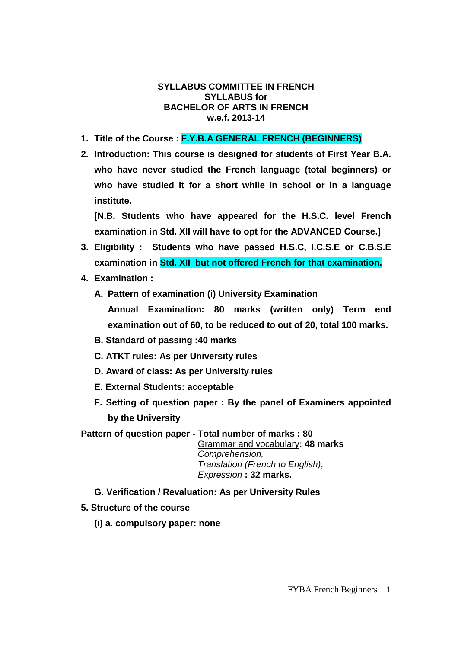#### **SYLLABUS COMMITTEE IN FRENCH SYLLABUS for BACHELOR OF ARTS IN FRENCH w.e.f. 2013-14**

- **1. Title of the Course : F.Y.B.A GENERAL FRENCH (BEGINNERS)**
- **2. Introduction: This course is designed for students of First Year B.A. who have never studied the French language (total beginners) or who have studied it for a short while in school or in a language institute.**

**[N.B. Students who have appeared for the H.S.C. level French examination in Std. XII will have to opt for the ADVANCED Course.]** 

- **3. Eligibility : Students who have passed H.S.C, I.C.S.E or C.B.S.E examination in Std. XII but not offered French for that examination.**
- **4. Examination :** 
	- **A. Pattern of examination (i) University Examination** 
		- **Annual Examination: 80 marks (written only) Term end examination out of 60, to be reduced to out of 20, total 100 marks.**
	- **B. Standard of passing :40 marks**
	- **C. ATKT rules: As per University rules**
	- **D. Award of class: As per University rules**
	- **E. External Students: acceptable**
	- **F. Setting of question paper : By the panel of Examiners appointed by the University**

**Pattern of question paper - Total number of marks : 80** 

Grammar and vocabulary**: 48 marks** Comprehension, Translation (French to English), Expression **: 32 marks.**

- **G. Verification / Revaluation: As per University Rules**
- **5. Structure of the course** 
	- **(i) a. compulsory paper: none**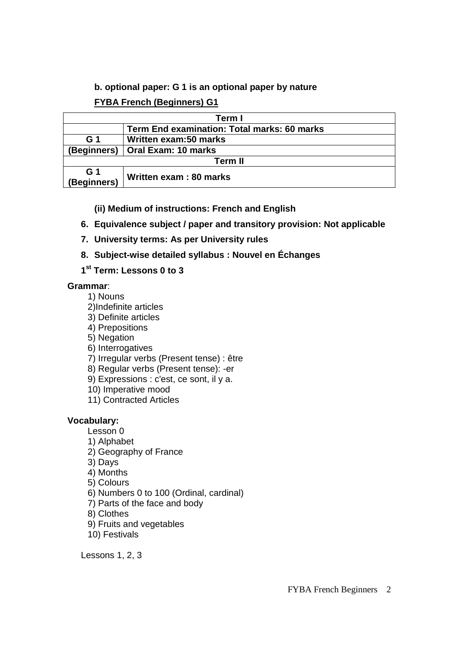## **b. optional paper: G 1 is an optional paper by nature**

# **FYBA French (Beginners) G1**

| Term I             |                                             |
|--------------------|---------------------------------------------|
|                    | Term End examination: Total marks: 60 marks |
| G <sub>1</sub>     | Written exam:50 marks                       |
| (Beginners)        | Oral Exam: 10 marks                         |
| <b>Term II</b>     |                                             |
| G 1<br>(Beginners) | Written exam: 80 marks                      |

- **(ii) Medium of instructions: French and English**
- **6. Equivalence subject / paper and transitory provision: Not applicable**
- **7. University terms: As per University rules**
- **8. Subject-wise detailed syllabus : Nouvel en Échanges**
- **1 st Term: Lessons 0 to 3**

# **Grammar**:

- 1) Nouns
- 2)Indefinite articles
- 3) Definite articles
- 4) Prepositions
- 5) Negation
- 6) Interrogatives
- 7) Irregular verbs (Present tense) : être
- 8) Regular verbs (Present tense): -er
- 9) Expressions : c'est, ce sont, il y a.
- 10) Imperative mood
- 11) Contracted Articles

# **Vocabulary:**

- $L$ esson  $\Omega$
- 1) Alphabet
- 2) Geography of France
- 3) Days
- 4) Months
- 5) Colours
- 6) Numbers 0 to 100 (Ordinal, cardinal)
- 7) Parts of the face and body

8) Clothes

- 9) Fruits and vegetables
- 10) Festivals

Lessons 1, 2, 3